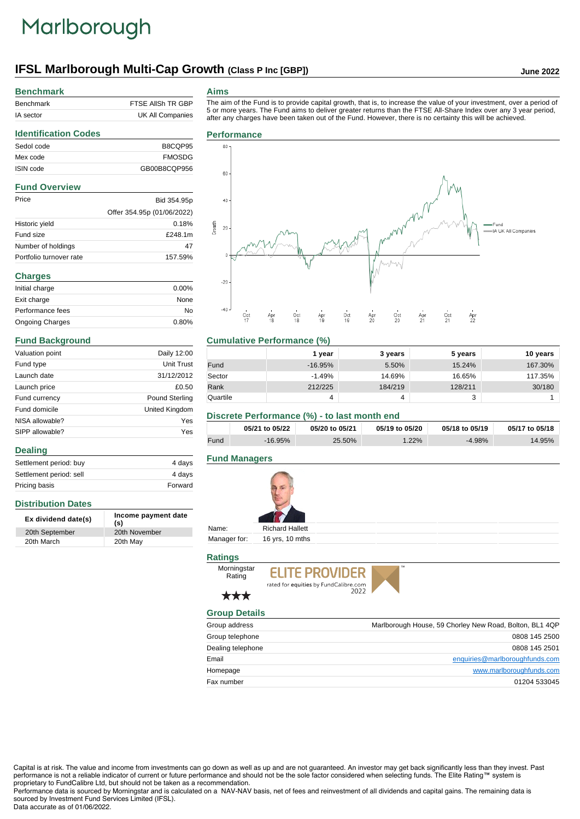# Marlborough

# **IFSL Marlborough Multi-Cap Growth (Class P Inc [GBP]) June 2022**

### **Benchmark**

| Benchmark | FTSE AIISH TR GBP |
|-----------|-------------------|
| IA sector | UK All Companies  |

### **Aims**

The aim of the Fund is to provide capital growth, that is, to increase the value of your investment, over a period of 5 or more years. The Fund aims to deliver greater returns than the FTSE All-Share Index over any 3 year period, after any charges have been taken out of the Fund. However, there is no certainty this will be achieved.

# **Identification Codes** Sedol code B8CQP95 Mex code FMOSDG ISIN code GB00B8CQP956 **Fund Overview** Price Bid 354.95p Offer 354.95p (01/06/2022) Historic yield 0.18% Fund size **£248.1m**

| Number of holdings      | 47      |
|-------------------------|---------|
| Portfolio turnover rate | 157.59% |
| <b>Charges</b>          |         |
| Initial charge          | 0.00%   |
| Exit charge             | None    |
| Performance fees        | No      |
| <b>Ongoing Charges</b>  | 0.80%   |

### **Fund Background**

**Distribution Dates**

**Dealing**

| Valuation point | Daily 12:00           |
|-----------------|-----------------------|
| Fund type       | Unit Trust            |
| Launch date     | 31/12/2012            |
| Launch price    | £0.50                 |
| Fund currency   | <b>Pound Sterling</b> |
| Fund domicile   | United Kingdom        |
| NISA allowable? | Yes                   |
| SIPP allowable? | Yes                   |
|                 |                       |

Settlement period: buy 4 days Settlement period: sell 4 days Pricing basis **Forward** 

**Ex dividend date(s) Income payment date (s)**

20th September 20th November 20th March 20th May



# **Cumulative Performance (%)**

|          | 1 vear    | 3 years | 5 years | 10 years |
|----------|-----------|---------|---------|----------|
| Fund     | $-16.95%$ | 5.50%   | 15.24%  | 167.30%  |
| Sector   | $-1.49%$  | 14.69%  | 16.65%  | 117.35%  |
| Rank     | 212/225   | 184/219 | 128/211 | 30/180   |
| Quartile | 4         | 4       | w       |          |

### **Discrete Performance (%) - to last month end**

|      | 05/21 to 05/22 | 05/20 to 05/21 | 05/19 to 05/20 | 05/18 to 05/19 | 05/17 to 05/18 |
|------|----------------|----------------|----------------|----------------|----------------|
| Fund | $-16.95\%$     | 25.50%         | $.22\%$        | $-4.98%$       | 14.95%         |

# **Fund Managers**



Manager for: 16 yrs, 10 mths

# **Ratings**



# \*\*\*

Rating

# **Group Details**

| Group address     | Marlborough House, 59 Chorley New Road, Bolton, BL1 4QP |
|-------------------|---------------------------------------------------------|
| Group telephone   | 0808 145 2500                                           |
| Dealing telephone | 0808 145 2501                                           |
| Email             | enquiries@marlboroughfunds.com                          |
| Homepage          | www.marlboroughfunds.com                                |
| Fax number        | 01204 533045                                            |

Capital is at risk. The value and income from investments can go down as well as up and are not guaranteed. An investor may get back significantly less than they invest. Past performance is not a reliable indicator of current or future performance and should not be the sole factor considered when selecting funds. The Elite Rating™ system is proprietary to FundCalibre Ltd, but should not be taken as a recommendation.

Performance data is sourced by Morningstar and is calculated on a NAV-NAV basis, net of fees and reinvestment of all dividends and capital gains. The remaining data is sourced by Investment Fund Services Limited (IFSL). Data accurate as of 01/06/2022.